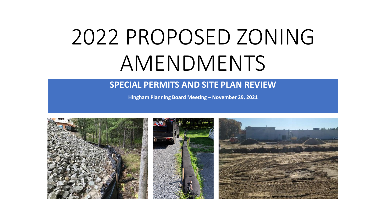# 2022 PROPOSED ZONING AMENDMENTS

#### **SPECIAL PERMITS AND SITE PLAN REVIEW**

**Hingham Planning Board Meeting – November 29, 2021**

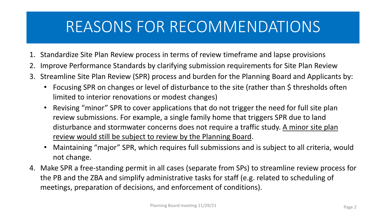## REASONS FOR RECOMMENDATIONS

- 1. Standardize Site Plan Review process in terms of review timeframe and lapse provisions
- 2. Improve Performance Standards by clarifying submission requirements for Site Plan Review
- 3. Streamline Site Plan Review (SPR) process and burden for the Planning Board and Applicants by:
	- Focusing SPR on changes or level of disturbance to the site (rather than \$ thresholds often limited to interior renovations or modest changes)
	- Revising "minor" SPR to cover applications that do not trigger the need for full site plan review submissions. For example, a single family home that triggers SPR due to land disturbance and stormwater concerns does not require a traffic study. A minor site plan review would still be subject to review by the Planning Board.
	- Maintaining "major" SPR, which requires full submissions and is subject to all criteria, would not change.
- 4. Make SPR a free-standing permit in all cases (separate from SPs) to streamline review process for the PB and the ZBA and simplify administrative tasks for staff (e.g. related to scheduling of meetings, preparation of decisions, and enforcement of conditions).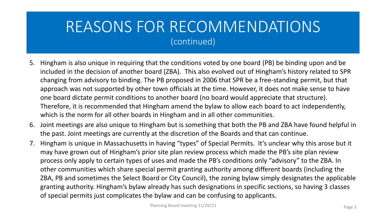### REASONS FOR RECOMMENDATIONS (continued)

- 5. Hingham is also unique in requiring that the conditions voted by one board (PB) be binding upon and be included in the decision of another board (ZBA). This also evolved out of Hingham's history related to SPR changing from advisory to binding. The PB proposed in 2006 that SPR be a free-standing permit, but that approach was not supported by other town officials at the time. However, it does not make sense to have one board dictate permit conditions to another board (no board would appreciate that structure). Therefore, it is recommended that Hingham amend the bylaw to allow each board to act independently, which is the norm for all other boards in Hingham and in all other communities.
- 6. Joint meetings are also unique to Hingham but is something that both the PB and ZBA have found helpful in the past. Joint meetings are currently at the discretion of the Boards and that can continue.
- 7. Hingham is unique in Massachusetts in having "types" of Special Permits. It's unclear why this arose but it may have grown out of Hingham's prior site plan review process which made the PB's site plan review process only apply to certain types of uses and made the PB's conditions only "advisory" to the ZBA. In other communities which share special permit granting authority among different boards (including the ZBA, PB and sometimes the Select Board or City Council), the zoning bylaw simply designates the applicable granting authority. Hingham's bylaw already has such designations in specific sections, so having 3 classes of special permits just complicates the bylaw and can be confusing to applicants.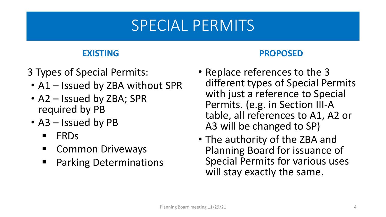## SPECIAL PERMITS

### **EXISTING**

- 3 Types of Special Permits:
	- A1 Issued by ZBA without SPR
	- A2 Issued by ZBA; SPR required by PB
	- A3 Issued by PB
		- **FRDs**
		- **E** Common Driveways
		- **Parking Determinations**

### **PROPOSED**

- Replace references to the 3 different types of Special Permits with just a reference to Special Permits. (e.g. in Section III-A table, all references to A1, A2 or A3 will be changed to SP)
- The authority of the ZBA and Planning Board for issuance of Special Permits for various uses will stay exactly the same.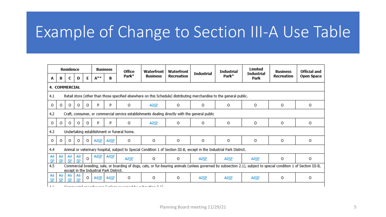## Example of Change to Section III-A Use Table

| <b>Residence</b> |                                                                                                                                                                                                               |                      |          |          | <b>Business</b>   |                   | Office                                                                     | Waterfront        | Waterfront |                   | <b>Industrial</b> | Limited            | <b>Business</b>   | Official and |  |
|------------------|---------------------------------------------------------------------------------------------------------------------------------------------------------------------------------------------------------------|----------------------|----------|----------|-------------------|-------------------|----------------------------------------------------------------------------|-------------------|------------|-------------------|-------------------|--------------------|-------------------|--------------|--|
| A                | B                                                                                                                                                                                                             | C                    | D        | E        | A**               | B                 | Park*                                                                      | <b>Business</b>   | Recreation | Industrial        | Park*             | Industrial<br>Park | <b>Recreation</b> | Open Space   |  |
|                  | <b>4. COMMERCIAL</b>                                                                                                                                                                                          |                      |          |          |                   |                   |                                                                            |                   |            |                   |                   |                    |                   |              |  |
| 4.1              | Retail store (other than those specified elsewhere on this Schedule) distributing merchandise to the general public.                                                                                          |                      |          |          |                   |                   |                                                                            |                   |            |                   |                   |                    |                   |              |  |
| 0                | 0                                                                                                                                                                                                             | $\circ$              | $\Omega$ | 0        | D                 | P                 | 0                                                                          | A <sub>2</sub> SP | 0          | 0                 | $\Omega$          | 0                  | 0                 | $\Omega$     |  |
| 4.2              | Craft, consumer, or commercial service establishments dealing directly with the general public                                                                                                                |                      |          |          |                   |                   |                                                                            |                   |            |                   |                   |                    |                   |              |  |
| 0                | 0                                                                                                                                                                                                             | $\circ$              | 0        | $\Omega$ | p                 | P                 | 0                                                                          | A <sub>2</sub> SP | O          | 0                 | 0                 | 0                  | 0                 | 0            |  |
| 4.3              | Undertaking establishment or funeral home.                                                                                                                                                                    |                      |          |          |                   |                   |                                                                            |                   |            |                   |                   |                    |                   |              |  |
| O                | 0                                                                                                                                                                                                             | $\circ$              | $\Omega$ | 0        | A <sub>2</sub> SP | A <sub>2</sub> SP | 0                                                                          | 0                 | 0          | O                 | 0                 | 0                  | 0                 | O            |  |
| 4.4              | Animal or veterinary hospital, subject to Special Condition 1 of Section III-B, except in the Industrial Park District.                                                                                       |                      |          |          |                   |                   |                                                                            |                   |            |                   |                   |                    |                   |              |  |
| A2<br>SP         | A2<br>SP                                                                                                                                                                                                      | A2<br>SP             | A2<br>SP | 0        | A <sub>2</sub> SP | A <sub>2</sub> SP | A <sub>2</sub> SP                                                          | 0                 | $\Omega$   | A <sub>2</sub> SP | A2SP              | A <sub>2</sub> SP  | 0                 | 0            |  |
| 4.5              | Commercial breeding, sale, or boarding of dogs, cats, or fur-bearing animals (unless governed by subsection 2.1), subject to special condition 1 of Section III-B,<br>except in the Industrial Park District. |                      |          |          |                   |                   |                                                                            |                   |            |                   |                   |                    |                   |              |  |
| Ał<br><b>SP</b>  | Ał.<br>SP                                                                                                                                                                                                     | A <del>1</del><br>CD | A1<br>SP | Ω        | A <sub>1</sub> SP | A <sub>1</sub> SP | 0                                                                          | 0                 | 0          | A <sub>2</sub> SP | A <sub>2</sub> SP | A <sub>2</sub> SP  | 0                 | 0            |  |
| A                |                                                                                                                                                                                                               |                      |          |          |                   |                   | An an another constant contract Arms and contracted the contraction of ARA |                   |            |                   |                   |                    |                   |              |  |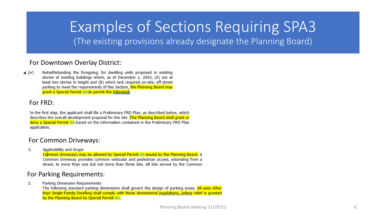## Examples of Sections Requiring SPA3

(The existing provisions already designate the Planning Board)

#### For Downtown Overlay District:

 $\blacktriangle$  (iv) Notwithstanding the foregoing, for dwelling units proposed in existing stories of existing buildings which, as of December 1, 2003, (A) are at least two stories in height and (B) which lack required on-site, off-street parking to meet the requirements of this Section, the Planning Board may grant a Special Permit A3-to permit the following:

#### For FRD:

In the first step, the applicant shall file a Preliminary FRD Plan, as described below, which describes the overall development proposal for the site. The Planning Board shall grant or deny a Special Permit A3-based on the information contained in the Preliminary FRD Plan application.

#### For Common Driveways:

Applicability and Scope 2.

Common driveways may be allowed by Special Permit A3-issued by the Planning Board. A Common Driveway provides common vehicular and pedestrian access, extending from a street, to more than one but not more than three lots. All lots served by the Common

#### For Parking Requirements:

Parking Dimension Requirements 3.

The following standard parking dimensions shall govern the design of parking areas. All uses other than Single-Family Dwelling shall comply with these dimensional regulations, unless relief is granted by the Planning Board by Special Permit A3.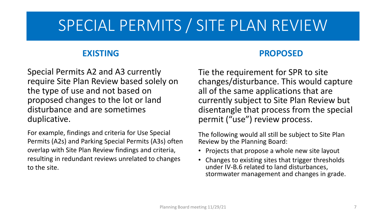## SPECIAL PERMITS / SITE PLAN REVIEW

### **EXISTING**

Special Permits A2 and A3 currently require Site Plan Review based solely on the type of use and not based on proposed changes to the lot or land disturbance and are sometimes duplicative.

For example, findings and criteria for Use Special Permits (A2s) and Parking Special Permits (A3s) often overlap with Site Plan Review findings and criteria, resulting in redundant reviews unrelated to changes to the site.

### **PROPOSED**

Tie the requirement for SPR to site changes/disturbance. This would capture all of the same applications that are currently subject to Site Plan Review but disentangle that process from the special permit ("use") review process.

The following would all still be subject to Site Plan Review by the Planning Board:

- Projects that propose a whole new site layout
- Changes to existing sites that trigger thresholds under IV-B.6 related to land disturbances, stormwater management and changes in grade.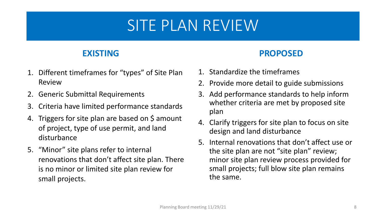## SITE PLAN REVIEW

### **EXISTING**

- 1. Different timeframes for "types" of Site Plan Review
- 2. Generic Submittal Requirements
- 3. Criteria have limited performance standards
- 4. Triggers for site plan are based on \$ amount of project, type of use permit, and land disturbance
- 5. "Minor" site plans refer to internal renovations that don't affect site plan. There is no minor or limited site plan review for small projects.

### **PROPOSED**

- 1. Standardize the timeframes
- 2. Provide more detail to guide submissions
- 3. Add performance standards to help inform whether criteria are met by proposed site plan
- 4. Clarify triggers for site plan to focus on site design and land disturbance
- 5. Internal renovations that don't affect use or the site plan are not "site plan" review; minor site plan review process provided for small projects; full blow site plan remains the same.